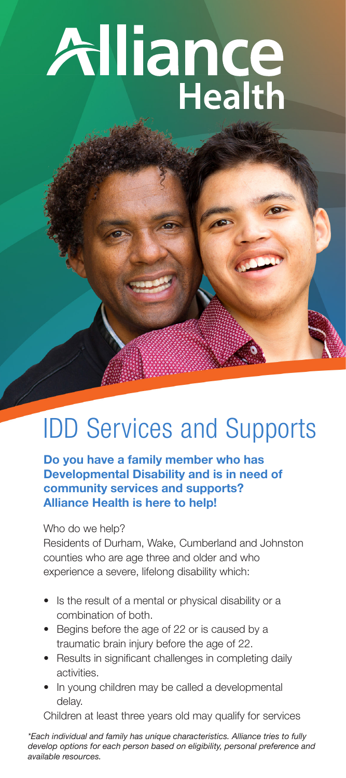# Alliance

# IDD Services and Supports

**Do you have a family member who has Developmental Disability and is in need of community services and supports? Alliance Health is here to help!**

Who do we help?

Residents of Durham, Wake, Cumberland and Johnston counties who are age three and older and who experience a severe, lifelong disability which:

- Is the result of a mental or physical disability or a combination of both.
- Begins before the age of 22 or is caused by a traumatic brain injury before the age of 22.
- Results in significant challenges in completing daily activities.
- In young children may be called a developmental delay.

Children at least three years old may qualify for services

*\*Each individual and family has unique characteristics. Alliance tries to fully develop options for each person based on eligibility, personal preference and available resources.*